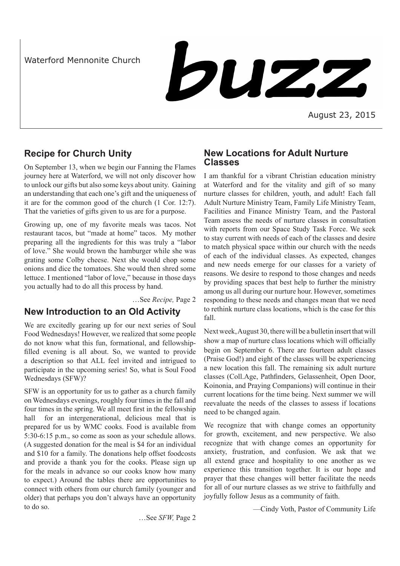Waterford Mennonite Church

buzz

August 23, 2015

# **Recipe for Church Unity**

On September 13, when we begin our Fanning the Flames journey here at Waterford, we will not only discover how to unlock our gifts but also some keys about unity. Gaining an understanding that each one's gift and the uniqueness of it are for the common good of the church (1 Cor. 12:7). That the varieties of gifts given to us are for a purpose.

Growing up, one of my favorite meals was tacos. Not restaurant tacos, but "made at home" tacos. My mother preparing all the ingredients for this was truly a "labor of love." She would brown the hamburger while she was grating some Colby cheese. Next she would chop some onions and dice the tomatoes. She would then shred some lettuce. I mentioned "labor of love," because in those days you actually had to do all this process by hand.

…See *Recipe,* Page 2

## **New Introduction to an Old Activity**

We are excitedly gearing up for our next series of Soul Food Wednesdays! However, we realized that some people do not know what this fun, formational, and fellowshipfilled evening is all about. So, we wanted to provide a description so that ALL feel invited and intrigued to participate in the upcoming series! So, what is Soul Food Wednesdays (SFW)?

SFW is an opportunity for us to gather as a church family on Wednesdays evenings, roughly four times in the fall and four times in the spring. We all meet first in the fellowship hall for an intergenerational, delicious meal that is prepared for us by WMC cooks. Food is available from 5:30-6:15 p.m., so come as soon as your schedule allows. (A suggested donation for the meal is \$4 for an individual and \$10 for a family. The donations help offset foodcosts and provide a thank you for the cooks. Please sign up for the meals in advance so our cooks know how many to expect.) Around the tables there are opportunities to connect with others from our church family (younger and older) that perhaps you don't always have an opportunity to do so.

## **New Locations for Adult Nurture Classes**

I am thankful for a vibrant Christian education ministry at Waterford and for the vitality and gift of so many nurture classes for children, youth, and adult! Each fall Adult Nurture Ministry Team, Family Life Ministry Team, Facilities and Finance Ministry Team, and the Pastoral Team assess the needs of nurture classes in consultation with reports from our Space Study Task Force. We seek to stay current with needs of each of the classes and desire to match physical space within our church with the needs of each of the individual classes. As expected, changes and new needs emerge for our classes for a variety of reasons. We desire to respond to those changes and needs by providing spaces that best help to further the ministry among us all during our nurture hour. However, sometimes responding to these needs and changes mean that we need to rethink nurture class locations, which is the case for this fall.

Next week, August 30, there will be a bulletin insert that will show a map of nurture class locations which will officially begin on September 6. There are fourteen adult classes (Praise God!) and eight of the classes will be experiencing a new location this fall. The remaining six adult nurture classes (Coll.Age, Pathfinders, Gelassenheit, Open Door, Koinonia, and Praying Companions) will continue in their current locations for the time being. Next summer we will reevaluate the needs of the classes to assess if locations need to be changed again.

We recognize that with change comes an opportunity for growth, excitement, and new perspective. We also recognize that with change comes an opportunity for anxiety, frustration, and confusion. We ask that we all extend grace and hospitality to one another as we experience this transition together. It is our hope and prayer that these changes will better facilitate the needs for all of our nurture classes as we strive to faithfully and joyfully follow Jesus as a community of faith.

…See *SFW,* Page 2

—Cindy Voth, Pastor of Community Life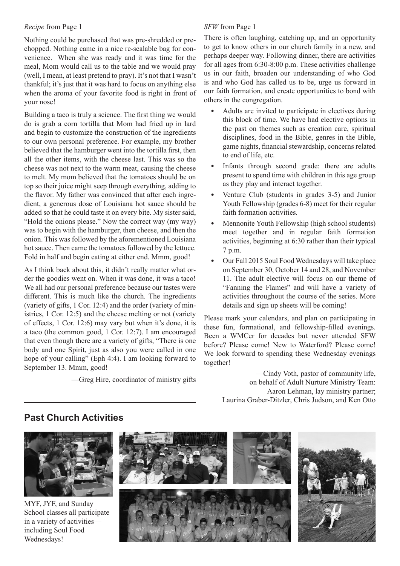### *Recipe* from Page 1

Nothing could be purchased that was pre-shredded or prechopped. Nothing came in a nice re-sealable bag for convenience. When she was ready and it was time for the meal, Mom would call us to the table and we would pray (well, I mean, at least pretend to pray). It's not that I wasn't thankful; it's just that it was hard to focus on anything else when the aroma of your favorite food is right in front of your nose!

Building a taco is truly a science. The first thing we would do is grab a corn tortilla that Mom had fried up in lard and begin to customize the construction of the ingredients to our own personal preference. For example, my brother believed that the hamburger went into the tortilla first, then all the other items, with the cheese last. This was so the cheese was not next to the warm meat, causing the cheese to melt. My mom believed that the tomatoes should be on top so their juice might seep through everything, adding to the flavor. My father was convinced that after each ingredient, a generous dose of Louisiana hot sauce should be added so that he could taste it on every bite. My sister said, "Hold the onions please." Now the correct way (my way) was to begin with the hamburger, then cheese, and then the onion. This was followed by the aforementioned Louisiana hot sauce. Then came the tomatoes followed by the lettuce. Fold in half and begin eating at either end. Mmm, good!

As I think back about this, it didn't really matter what order the goodies went on. When it was done, it was a taco! We all had our personal preference because our tastes were different. This is much like the church. The ingredients (variety of gifts, 1 Cor. 12:4) and the order (variety of ministries, 1 Cor. 12:5) and the cheese melting or not (variety of effects, 1 Cor. 12:6) may vary but when it's done, it is a taco (the common good, 1 Cor. 12:7). I am encouraged that even though there are a variety of gifts, "There is one body and one Spirit, just as also you were called in one hope of your calling" (Eph 4:4). I am looking forward to September 13. Mmm, good!

—Greg Hire, coordinator of ministry gifts

### *SFW* from Page 1

There is often laughing, catching up, and an opportunity to get to know others in our church family in a new, and perhaps deeper way. Following dinner, there are activities for all ages from 6:30-8:00 p.m. These activities challenge us in our faith, broaden our understanding of who God is and who God has called us to be, urge us forward in our faith formation, and create opportunities to bond with others in the congregation.

- Adults are invited to participate in electives during this block of time. We have had elective options in the past on themes such as creation care, spiritual disciplines, food in the Bible, genres in the Bible, game nights, financial stewardship, concerns related to end of life, etc.
- Infants through second grade: there are adults present to spend time with children in this age group as they play and interact together.
- Venture Club (students in grades 3-5) and Junior Youth Fellowship (grades 6-8) meet for their regular faith formation activities.
- Mennonite Youth Fellowship (high school students) meet together and in regular faith formation activities, beginning at 6:30 rather than their typical 7 p.m.
- Our Fall 2015 Soul Food Wednesdays will take place on September 30, October 14 and 28, and November 11. The adult elective will focus on our theme of "Fanning the Flames" and will have a variety of activities throughout the course of the series. More details and sign up sheets will be coming!

Please mark your calendars, and plan on participating in these fun, formational, and fellowship-filled evenings. Been a WMCer for decades but never attended SFW before? Please come! New to Waterford? Please come! We look forward to spending these Wednesday evenings together!

> —Cindy Voth, pastor of community life, on behalf of Adult Nurture Ministry Team: Aaron Lehman, lay ministry partner; Laurina Graber-Ditzler, Chris Judson, and Ken Otto



## **Past Church Activities**

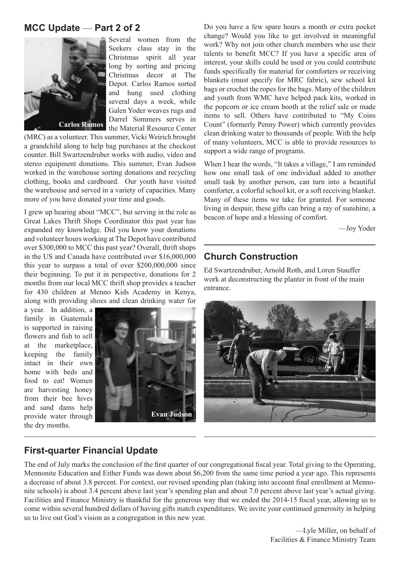## **MCC Update** — **Part 2 of 2**



Several women from the Seekers class stay in the Christmas spirit all year long by sorting and pricing Christmas decor at The Depot. Carlos Ramos sorted and hung used clothing several days a week, while Galen Yoder weaves rugs and Darrel Sommers serves in the Material Resource Center

(MRC) as a volunteer. This summer, Vicki Weirich brought a grandchild along to help bag purchases at the checkout counter. Bill Swartzendruber works with audio, video and stereo equipment donations. This summer, Evan Judson worked in the warehouse sorting donations and recycling clothing, books and cardboard. Our youth have visited the warehouse and served in a variety of capacities. Many more of you have donated your time and goods.

I grew up hearing about "MCC", but serving in the role as Great Lakes Thrift Shops Coordinator this past year has expanded my knowledge. Did you know your donations and volunteer hours working at The Depot have contributed over \$300,000 to MCC this past year? Overall, thrift shops in the US and Canada have contributed over \$16,000,000 this year to surpass a total of over \$200,000,000 since their beginning. To put it in perspective, donations for 2 months from our local MCC thrift shop provides a teacher for 430 children at Menno Kids Academy in Kenya, along with providing shoes and clean drinking water for

a year. In addition, a family in Guatemala is supported in raising flowers and fish to sell at the marketplace, keeping the family intact in their own home with beds and food to eat! Women are harvesting honey from their bee hives and sand dams help provide water through the dry months.



Do you have a few spare hours a month or extra pocket change? Would you like to get involved in meaningful work? Why not join other church members who use their talents to benefit MCC? If you have a specific area of interest, your skills could be used or you could contribute funds specifically for material for comforters or receiving blankets (must specify for MRC fabric), sew school kit bags or crochet the ropes for the bags. Many of the children and youth from WMC have helped pack kits, worked in the popcorn or ice cream booth at the relief sale or made items to sell. Others have contributed to "My Coins Count" (formerly Penny Power) which currently provides clean drinking water to thousands of people. With the help of many volunteers, MCC is able to provide resources to support a wide range of programs.

When I hear the words, "It takes a village," I am reminded how one small task of one individual added to another small task by another person, can turn into a beautiful comforter, a colorful school kit, or a soft receiving blanket. Many of these items we take for granted. For someone living in despair, these gifts can bring a ray of sunshine, a beacon of hope and a blessing of comfort.

—Joy Yoder

# **Church Construction**

Ed Swartzendruber, Arnold Roth, and Loren Stauffer work at deconstructing the planter in front of the main entrance.



## **First-quarter Financial Update**

The end of July marks the conclusion of the first quarter of our congregational fiscal year. Total giving to the Operating, Mennonite Education and Either Funds was down about \$6,200 from the same time period a year ago. This represents a decrease of about 3.8 percent. For context, our revised spending plan (taking into account final enrollment at Mennonite schools) is about 3.4 percent above last year's spending plan and about 7.0 percent above last year's actual giving. Facilities and Finance Ministry is thankful for the generous way that we ended the 2014-15 fiscal year, allowing us to come within several hundred dollars of having gifts match expenditures. We invite your continued generosity in helping us to live out God's vision as a congregation in this new year.

> —Lyle Miller, on behalf of Facilities & Finance Ministry Team